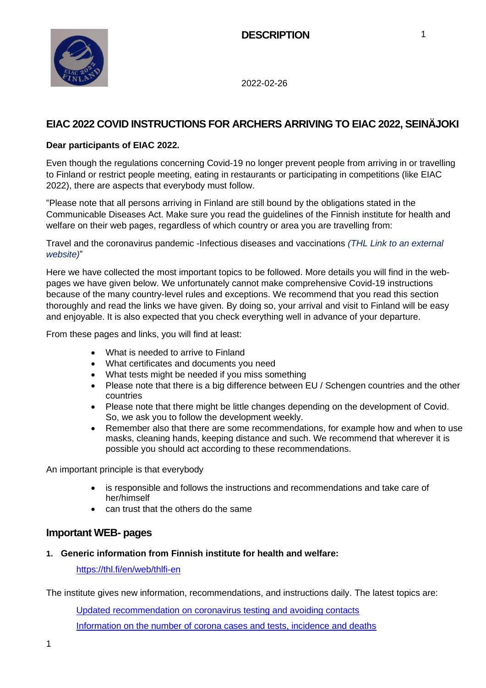

# **EIAC 2022 COVID INSTRUCTIONS FOR ARCHERS ARRIVING TO EIAC 2022, SEINÄJOKI**

### **Dear participants of EIAC 2022.**

Even though the regulations concerning Covid-19 no longer prevent people from arriving in or travelling to Finland or restrict people meeting, eating in restaurants or participating in competitions (like EIAC 2022), there are aspects that everybody must follow.

"Please note that all persons arriving in Finland are still bound by the obligations stated in the Communicable Diseases Act. Make sure you read the guidelines of the Finnish institute for health and welfare on their web pages, regardless of which country or area you are travelling from:

Travel and the coronavirus pandemic -Infectious diseases and vaccinations *[\(THL Link to an external](https://thl.fi/en/web/infectious-diseases-and-vaccinations/what-s-new/coronavirus-covid-19-latest-updates/travel-and-the-coronavirus-pandemic)  [website\)](https://thl.fi/en/web/infectious-diseases-and-vaccinations/what-s-new/coronavirus-covid-19-latest-updates/travel-and-the-coronavirus-pandemic)*"

Here we have collected the most important topics to be followed. More details you will find in the webpages we have given below. We unfortunately cannot make comprehensive Covid-19 instructions because of the many country-level rules and exceptions. We recommend that you read this section thoroughly and read the links we have given. By doing so, your arrival and visit to Finland will be easy and enjoyable. It is also expected that you check everything well in advance of your departure.

From these pages and links, you will find at least:

- What is needed to arrive to Finland
- What certificates and documents you need
- What tests might be needed if you miss something
- Please note that there is a big difference between EU / Schengen countries and the other countries
- Please note that there might be little changes depending on the development of Covid. So, we ask you to follow the development weekly.
- Remember also that there are some recommendations, for example how and when to use masks, cleaning hands, keeping distance and such. We recommend that wherever it is possible you should act according to these recommendations.

An important principle is that everybody

- is responsible and follows the instructions and recommendations and take care of her/himself
- can trust that the others do the same

## **Important WEB- pages**

#### **1. Generic information from Finnish institute for health and welfare:**

<https://thl.fi/en/web/thlfi-en>

The institute gives new information, recommendations, and instructions daily. The latest topics are:

[Updated recommendation on coronavirus testing and avoiding contacts](https://thl.fi/en/web/infectious-diseases-and-vaccinations/what-s-new/coronavirus-covid-19-latest-updates/symptoms-and-treatment-coronavirus/covid-19-tests-and-avoiding-contacts-in-regions-with-a-testing-and-tracing-backlog) [Information on the number of corona cases and tests, incidence and deaths](https://www.thl.fi/episeuranta/tautitapaukset/coronamap.html)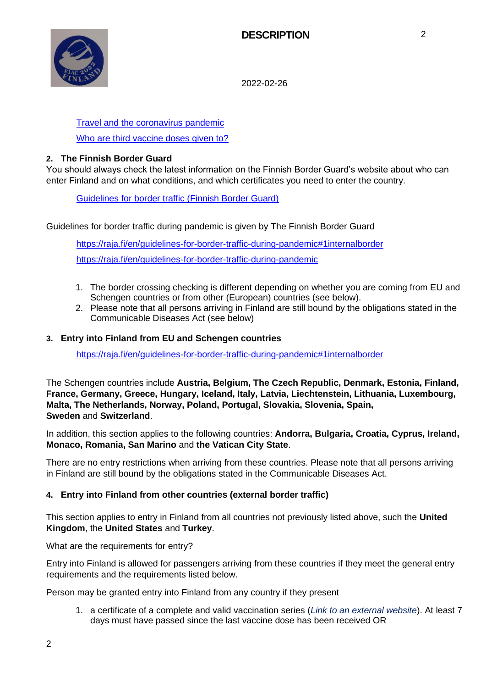

## [Travel and the coronavirus pandemic](https://thl.fi/en/web/infectious-diseases-and-vaccinations/what-s-new/coronavirus-covid-19-latest-updates/travel-and-the-coronavirus-pandemic)

[Who are third vaccine doses given to?](https://thl.fi/en/web/infectious-diseases-and-vaccinations/what-s-new/coronavirus-covid-19-latest-updates/vaccines-and-coronavirus/vaccination-order-and-at-risk-groups-for-covid-19)

#### **2. The Finnish Border Guard**

You should always check the latest information on the Finnish Border Guard's website about who can enter Finland and on what conditions, and which certificates you need to enter the country.

[Guidelines for border traffic \(Finnish Border Guard\)](https://raja.fi/en/guidelines-for-border-traffic-during-pandemic)

Guidelines for border traffic during pandemic is given by The Finnish Border Guard

<https://raja.fi/en/guidelines-for-border-traffic-during-pandemic#1internalborder> <https://raja.fi/en/guidelines-for-border-traffic-during-pandemic>

- 1. The border crossing checking is different depending on whether you are coming from EU and Schengen countries or from other (European) countries (see below).
- 2. Please note that all persons arriving in Finland are still bound by the obligations stated in the Communicable Diseases Act (see below)

#### **3. Entry into Finland from EU and Schengen countries**

<https://raja.fi/en/guidelines-for-border-traffic-during-pandemic#1internalborder>

The Schengen countries include **Austria, Belgium, The Czech Republic, Denmark, Estonia, Finland, France, Germany, Greece, Hungary, Iceland, Italy, Latvia, Liechtenstein, Lithuania, Luxembourg, Malta, The Netherlands, Norway, Poland, Portugal, Slovakia, Slovenia, Spain, Sweden** and **Switzerland**.

In addition, this section applies to the following countries: **Andorra, Bulgaria, Croatia, Cyprus, Ireland, Monaco, Romania, San Marino** and **the Vatican City State**.

There are no entry restrictions when arriving from these countries. Please note that all persons arriving in Finland are still bound by the obligations stated in the Communicable Diseases Act.

#### **4. Entry into Finland from other countries (external border traffic)**

This section applies to entry in Finland from all countries not previously listed above, such the **United Kingdom**, the **United States** and **Turkey**.

What are the requirements for entry?

Entry into Finland is allowed for passengers arriving from these countries if they meet the general entry requirements and the requirements listed below.

Person may be granted entry into Finland from any country if they present

1. a certificate of a [complete and valid vaccination series \(](https://thl.fi/en/web/infectious-diseases-and-vaccinations/what-s-new/coronavirus-covid-19-latest-updates/travel-and-the-coronavirus-pandemic)*Link to an external website*). At least 7 days must have passed since the last vaccine dose has been received OR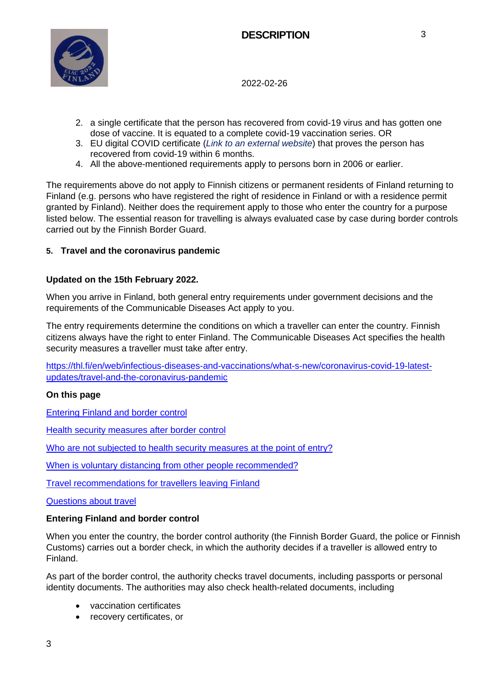

- 2. a single certificate that the person has recovered from covid-19 virus and has gotten one dose of vaccine. It is equated to a complete covid-19 vaccination series. OR
- 3. EU digital COVID certificate (*[Link to an external website](https://ec.europa.eu/info/live-work-travel-eu/coronavirus-response/safe-covid-19-vaccines-europeans/eu-digital-covid-certificate_en)*) that proves the person has recovered from covid-19 within 6 months.
- 4. All the above-mentioned requirements apply to persons born in 2006 or earlier.

The requirements above do not apply to Finnish citizens or permanent residents of Finland returning to Finland (e.g. persons who have registered the right of residence in Finland or with a residence permit granted by Finland). Neither does the requirement apply to those who enter the country for a purpose listed below. The essential reason for travelling is always evaluated case by case during border controls carried out by the Finnish Border Guard.

#### **5. Travel and the coronavirus pandemic**

## **Updated on the 15th February 2022.**

When you arrive in Finland, both general entry requirements under government decisions and the requirements of the Communicable Diseases Act apply to you.

The entry requirements determine the conditions on which a traveller can enter the country. Finnish citizens always have the right to enter Finland. The Communicable Diseases Act specifies the health security measures a traveller must take after entry.

[https://thl.fi/en/web/infectious-diseases-and-vaccinations/what-s-new/coronavirus-covid-19-latest](https://thl.fi/en/web/infectious-diseases-and-vaccinations/what-s-new/coronavirus-covid-19-latest-updates/travel-and-the-coronavirus-pandemic)[updates/travel-and-the-coronavirus-pandemic](https://thl.fi/en/web/infectious-diseases-and-vaccinations/what-s-new/coronavirus-covid-19-latest-updates/travel-and-the-coronavirus-pandemic)

#### **On this page**

[Entering Finland and border control](https://thl.fi/en/web/infectious-diseases-and-vaccinations/what-s-new/coronavirus-covid-19-latest-updates/travel-and-the-coronavirus-pandemic#entering_finland)

[Health security measures after border control](https://thl.fi/en/web/infectious-diseases-and-vaccinations/what-s-new/coronavirus-covid-19-latest-updates/travel-and-the-coronavirus-pandemic#health_security)

[Who are not subjected to health security measures at the point of entry?](https://thl.fi/en/web/infectious-diseases-and-vaccinations/what-s-new/coronavirus-covid-19-latest-updates/travel-and-the-coronavirus-pandemic#not_subjected)

[When is voluntary distancing from other people recommended?](https://thl.fi/en/web/infectious-diseases-and-vaccinations/what-s-new/coronavirus-covid-19-latest-updates/travel-and-the-coronavirus-pandemic#voluntary_distancing)

[Travel recommendations for travellers leaving Finland](https://thl.fi/en/web/infectious-diseases-and-vaccinations/what-s-new/coronavirus-covid-19-latest-updates/travel-and-the-coronavirus-pandemic#recommendations)

[Questions about travel](https://thl.fi/en/web/infectious-diseases-and-vaccinations/what-s-new/coronavirus-covid-19-latest-updates/travel-and-the-coronavirus-pandemic#questions)

#### **Entering Finland and border control**

When you enter the country, the border control authority (the Finnish Border Guard, the police or Finnish Customs) carries out a border check, in which the authority decides if a traveller is allowed entry to Finland.

As part of the border control, the authority checks travel documents, including passports or personal identity documents. The authorities may also check health-related documents, including

- vaccination certificates
- recovery certificates, or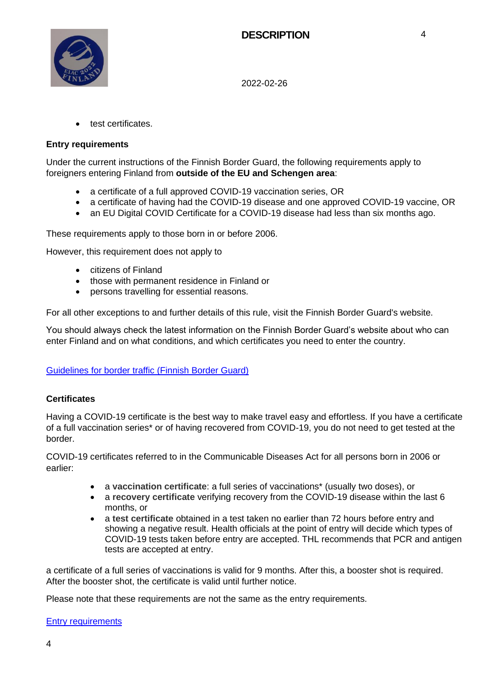4



2022-02-26

• test certificates.

#### **Entry requirements**

Under the current instructions of the Finnish Border Guard, the following requirements apply to foreigners entering Finland from **outside of the EU and Schengen area**:

- a certificate of a full approved COVID-19 vaccination series, OR
- a certificate of having had the COVID-19 disease and one approved COVID-19 vaccine, OR
- an EU Digital COVID Certificate for a COVID-19 disease had less than six months ago.

These requirements apply to those born in or before 2006.

However, this requirement does not apply to

- citizens of Finland
- those with permanent residence in Finland or
- persons travelling for essential reasons.

For all other exceptions to and further details of this rule, visit the Finnish Border Guard's website.

You should always check the latest information on the Finnish Border Guard's website about who can enter Finland and on what conditions, and which certificates you need to enter the country.

#### [Guidelines for border traffic \(Finnish Border Guard\)](https://raja.fi/en/guidelines-for-border-traffic-during-pandemic)

#### **Certificates**

Having a COVID-19 certificate is the best way to make travel easy and effortless. If you have a certificate of a full vaccination series\* or of having recovered from COVID-19, you do not need to get tested at the border.

COVID-19 certificates referred to in the Communicable Diseases Act for all persons born in 2006 or earlier:

- a **vaccination certificate**: a full series of vaccinations\* (usually two doses), or
- a **recovery certificate** verifying recovery from the COVID-19 disease within the last 6 months, or
- a **test certificate** obtained in a test taken no earlier than 72 hours before entry and showing a negative result. Health officials at the point of entry will decide which types of COVID-19 tests taken before entry are accepted. THL recommends that PCR and antigen tests are accepted at entry.

a certificate of a full series of vaccinations is valid for 9 months. After this, a booster shot is required. After the booster shot, the certificate is valid until further notice.

Please note that these requirements are not the same as the entry requirements.

[Entry requirements](https://thl.fi/en/web/infectious-diseases-and-vaccinations/what-s-new/coronavirus-covid-19-latest-updates/travel-and-the-coronavirus-pandemic#entry)